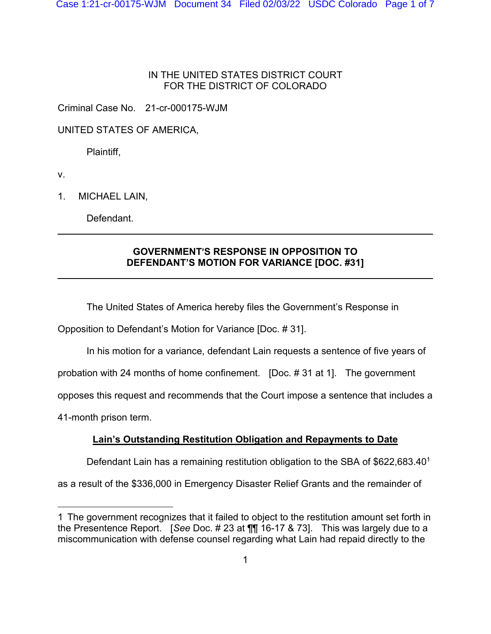## IN THE UNITED STATES DISTRICT COURT FOR THE DISTRICT OF COLORADO

Criminal Case No. 21-cr-000175-WJM

UNITED STATES OF AMERICA,

Plaintiff,

v.

l

 $\overline{a}$ 

1. MICHAEL LAIN,

Defendant.

## **GOVERNMENT'S RESPONSE IN OPPOSITION TO DEFENDANT'S MOTION FOR VARIANCE [DOC. #31]**

The United States of America hereby files the Government's Response in

Opposition to Defendant's Motion for Variance [Doc. # 31].

In his motion for a variance, defendant Lain requests a sentence of five years of

probation with 24 months of home confinement. [Doc. # 31 at 1]. The government

opposes this request and recommends that the Court impose a sentence that includes a

41-month prison term.

# **Lain's Outstanding Restitution Obligation and Repayments to Date**

Defendant Lain has a remaining restitution obligation to the SBA of  $$622,683.40<sup>1</sup>$ 

as a result of the \$336,000 in Emergency Disaster Relief Grants and the remainder of

<sup>1</sup> The government recognizes that it failed to object to the restitution amount set forth in the Presentence Report. [*See* Doc. # 23 at ¶¶ 16-17 & 73]. This was largely due to a miscommunication with defense counsel regarding what Lain had repaid directly to the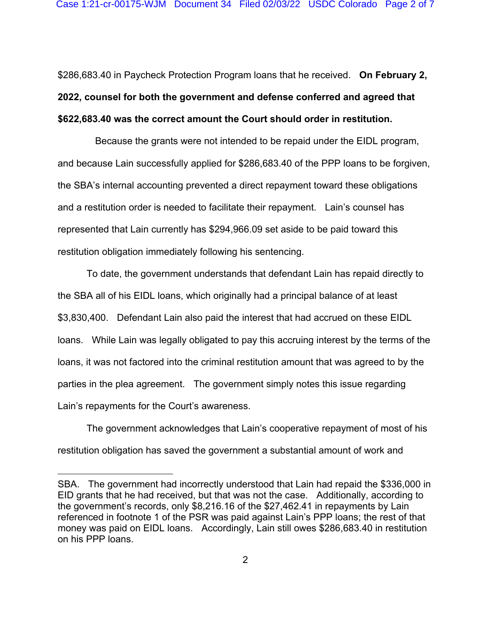\$286,683.40 in Paycheck Protection Program loans that he received. **On February 2, 2022, counsel for both the government and defense conferred and agreed that \$622,683.40 was the correct amount the Court should order in restitution.**

 Because the grants were not intended to be repaid under the EIDL program, and because Lain successfully applied for \$286,683.40 of the PPP loans to be forgiven, the SBA's internal accounting prevented a direct repayment toward these obligations and a restitution order is needed to facilitate their repayment. Lain's counsel has represented that Lain currently has \$294,966.09 set aside to be paid toward this restitution obligation immediately following his sentencing.

To date, the government understands that defendant Lain has repaid directly to the SBA all of his EIDL loans, which originally had a principal balance of at least \$3,830,400. Defendant Lain also paid the interest that had accrued on these EIDL loans. While Lain was legally obligated to pay this accruing interest by the terms of the loans, it was not factored into the criminal restitution amount that was agreed to by the parties in the plea agreement. The government simply notes this issue regarding Lain's repayments for the Court's awareness.

The government acknowledges that Lain's cooperative repayment of most of his restitution obligation has saved the government a substantial amount of work and

SBA. The government had incorrectly understood that Lain had repaid the \$336,000 in EID grants that he had received, but that was not the case. Additionally, according to the government's records, only \$8,216.16 of the \$27,462.41 in repayments by Lain referenced in footnote 1 of the PSR was paid against Lain's PPP loans; the rest of that money was paid on EIDL loans. Accordingly, Lain still owes \$286,683.40 in restitution on his PPP loans.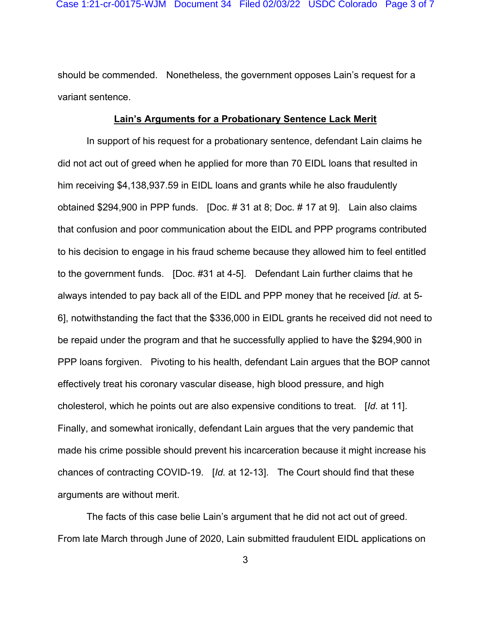should be commended. Nonetheless, the government opposes Lain's request for a variant sentence.

#### **Lain's Arguments for a Probationary Sentence Lack Merit**

In support of his request for a probationary sentence, defendant Lain claims he did not act out of greed when he applied for more than 70 EIDL loans that resulted in him receiving \$4,138,937.59 in EIDL loans and grants while he also fraudulently obtained \$294,900 in PPP funds. [Doc. # 31 at 8; Doc. # 17 at 9]. Lain also claims that confusion and poor communication about the EIDL and PPP programs contributed to his decision to engage in his fraud scheme because they allowed him to feel entitled to the government funds. [Doc. #31 at 4-5]. Defendant Lain further claims that he always intended to pay back all of the EIDL and PPP money that he received [*id.* at 5- 6], notwithstanding the fact that the \$336,000 in EIDL grants he received did not need to be repaid under the program and that he successfully applied to have the \$294,900 in PPP loans forgiven. Pivoting to his health, defendant Lain argues that the BOP cannot effectively treat his coronary vascular disease, high blood pressure, and high cholesterol, which he points out are also expensive conditions to treat. [*Id.* at 11]. Finally, and somewhat ironically, defendant Lain argues that the very pandemic that made his crime possible should prevent his incarceration because it might increase his chances of contracting COVID-19. [*Id.* at 12-13]. The Court should find that these arguments are without merit.

The facts of this case belie Lain's argument that he did not act out of greed. From late March through June of 2020, Lain submitted fraudulent EIDL applications on

3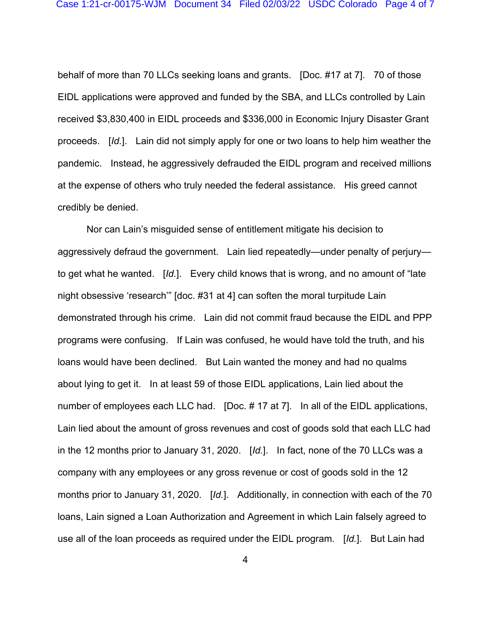behalf of more than 70 LLCs seeking loans and grants. [Doc. #17 at 7]. 70 of those EIDL applications were approved and funded by the SBA, and LLCs controlled by Lain received \$3,830,400 in EIDL proceeds and \$336,000 in Economic Injury Disaster Grant proceeds. [*Id.*]. Lain did not simply apply for one or two loans to help him weather the pandemic. Instead, he aggressively defrauded the EIDL program and received millions at the expense of others who truly needed the federal assistance. His greed cannot credibly be denied.

Nor can Lain's misguided sense of entitlement mitigate his decision to aggressively defraud the government. Lain lied repeatedly—under penalty of perjury to get what he wanted. [*Id.*]. Every child knows that is wrong, and no amount of "late night obsessive 'research'" [doc. #31 at 4] can soften the moral turpitude Lain demonstrated through his crime. Lain did not commit fraud because the EIDL and PPP programs were confusing. If Lain was confused, he would have told the truth, and his loans would have been declined. But Lain wanted the money and had no qualms about lying to get it. In at least 59 of those EIDL applications, Lain lied about the number of employees each LLC had. [Doc. # 17 at 7]. In all of the EIDL applications, Lain lied about the amount of gross revenues and cost of goods sold that each LLC had in the 12 months prior to January 31, 2020. [*Id.*]. In fact, none of the 70 LLCs was a company with any employees or any gross revenue or cost of goods sold in the 12 months prior to January 31, 2020. [*Id.*]. Additionally, in connection with each of the 70 loans, Lain signed a Loan Authorization and Agreement in which Lain falsely agreed to use all of the loan proceeds as required under the EIDL program. [*Id.*]. But Lain had

4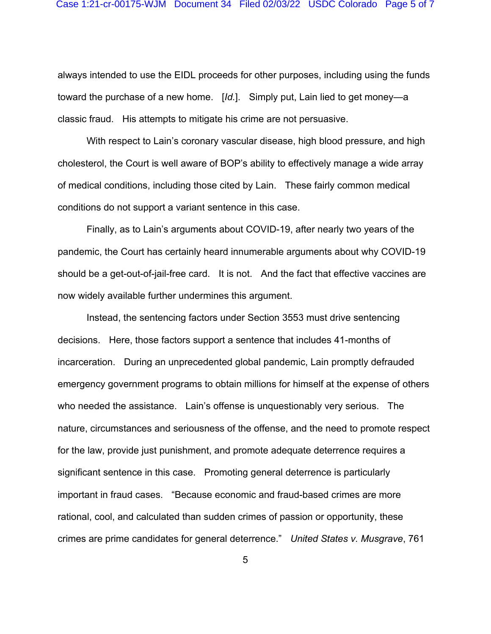always intended to use the EIDL proceeds for other purposes, including using the funds toward the purchase of a new home. [*Id.*]. Simply put, Lain lied to get money—a classic fraud. His attempts to mitigate his crime are not persuasive.

With respect to Lain's coronary vascular disease, high blood pressure, and high cholesterol, the Court is well aware of BOP's ability to effectively manage a wide array of medical conditions, including those cited by Lain. These fairly common medical conditions do not support a variant sentence in this case.

Finally, as to Lain's arguments about COVID-19, after nearly two years of the pandemic, the Court has certainly heard innumerable arguments about why COVID-19 should be a get-out-of-jail-free card. It is not. And the fact that effective vaccines are now widely available further undermines this argument.

Instead, the sentencing factors under Section 3553 must drive sentencing decisions. Here, those factors support a sentence that includes 41-months of incarceration. During an unprecedented global pandemic, Lain promptly defrauded emergency government programs to obtain millions for himself at the expense of others who needed the assistance. Lain's offense is unquestionably very serious. The nature, circumstances and seriousness of the offense, and the need to promote respect for the law, provide just punishment, and promote adequate deterrence requires a significant sentence in this case. Promoting general deterrence is particularly important in fraud cases. "Because economic and fraud-based crimes are more rational, cool, and calculated than sudden crimes of passion or opportunity, these crimes are prime candidates for general deterrence." *United States v. Musgrave*, 761

5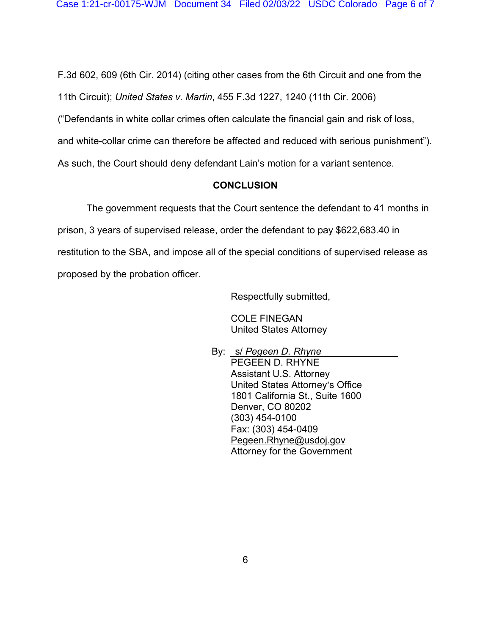F.3d 602, 609 (6th Cir. 2014) (citing other cases from the 6th Circuit and one from the

11th Circuit); *United States v. Martin*, 455 F.3d 1227, 1240 (11th Cir. 2006)

("Defendants in white collar crimes often calculate the financial gain and risk of loss,

and white-collar crime can therefore be affected and reduced with serious punishment").

As such, the Court should deny defendant Lain's motion for a variant sentence.

## **CONCLUSION**

 The government requests that the Court sentence the defendant to 41 months in prison, 3 years of supervised release, order the defendant to pay \$622,683.40 in restitution to the SBA, and impose all of the special conditions of supervised release as proposed by the probation officer.

Respectfully submitted,

COLE FINEGAN United States Attorney

 By: s/ *Pegeen D. Rhyne* PEGEEN D. RHYNE Assistant U.S. Attorney United States Attorney's Office 1801 California St., Suite 1600 Denver, CO 80202 (303) 454-0100 Fax: (303) 454-0409 Pegeen.Rhyne@usdoj.gov Attorney for the Government